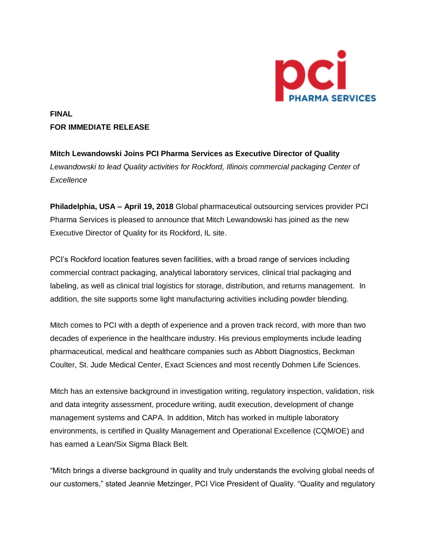

# **FINAL FOR IMMEDIATE RELEASE**

**Mitch Lewandowski Joins PCI Pharma Services as Executive Director of Quality**  *Lewandowski to lead Quality activities for Rockford, Illinois commercial packaging Center of Excellence*

**Philadelphia, USA – April 19, 2018** Global pharmaceutical outsourcing services provider PCI Pharma Services is pleased to announce that Mitch Lewandowski has joined as the new Executive Director of Quality for its Rockford, IL site.

PCI's Rockford location features seven facilities, with a broad range of services including commercial contract packaging, analytical laboratory services, clinical trial packaging and labeling, as well as clinical trial logistics for storage, distribution, and returns management. In addition, the site supports some light manufacturing activities including powder blending.

Mitch comes to PCI with a depth of experience and a proven track record, with more than two decades of experience in the healthcare industry. His previous employments include leading pharmaceutical, medical and healthcare companies such as Abbott Diagnostics, Beckman Coulter, St. Jude Medical Center, Exact Sciences and most recently Dohmen Life Sciences.

Mitch has an extensive background in investigation writing, regulatory inspection, validation, risk and data integrity assessment, procedure writing, audit execution, development of change management systems and CAPA. In addition, Mitch has worked in multiple laboratory environments, is certified in Quality Management and Operational Excellence (CQM/OE) and has earned a Lean/Six Sigma Black Belt.

"Mitch brings a diverse background in quality and truly understands the evolving global needs of our customers," stated Jeannie Metzinger, PCI Vice President of Quality. "Quality and regulatory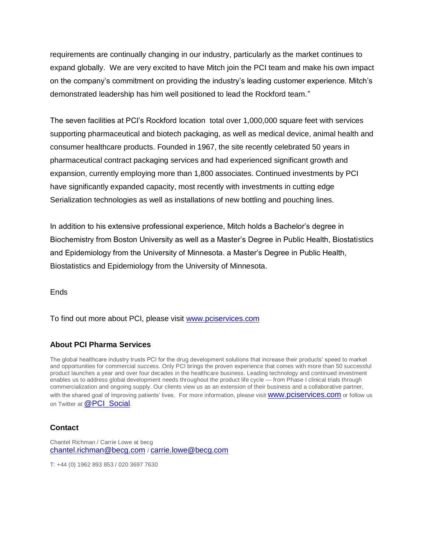requirements are continually changing in our industry, particularly as the market continues to expand globally. We are very excited to have Mitch join the PCI team and make his own impact on the company's commitment on providing the industry's leading customer experience. Mitch's demonstrated leadership has him well positioned to lead the Rockford team*.*"

The seven facilities at PCI's Rockford location total over 1,000,000 square feet with services supporting pharmaceutical and biotech packaging, as well as medical device, animal health and consumer healthcare products. Founded in 1967, the site recently celebrated 50 years in pharmaceutical contract packaging services and had experienced significant growth and expansion, currently employing more than 1,800 associates. Continued investments by PCI have significantly expanded capacity, most recently with investments in cutting edge Serialization technologies as well as installations of new bottling and pouching lines.

In addition to his extensive professional experience, Mitch holds a Bachelor's degree in Biochemistry from Boston University as well as a Master's Degree in Public Health, Biostatistics and Epidemiology from the University of Minnesota. a Master's Degree in Public Health, Biostatistics and Epidemiology from the University of Minnesota.

**Ends** 

To find out more about PCI, please visit [www.pciservices.com](http://www.pciservices.com/)

### **About PCI Pharma Services**

The global healthcare industry trusts PCI for the drug development solutions that increase their products' speed to market and opportunities for commercial success. Only PCI brings the proven experience that comes with more than 50 successful product launches a year and over four decades in the healthcare business. Leading technology and continued investment enables us to address global development needs throughout the product life cycle — from Phase I clinical trials through commercialization and ongoing supply. Our clients view us as an extension of their business and a collaborative partner, with the shared goal of improving patients' lives. For more information, please visit **WWW.pciservices.com** or follow us on Twitter at [@PCI\\_Social](https://twitter.com/PCI_Social?ref_src=twsrc%5Egoogle%7Ctwcamp%5Eserp%7Ctwgr%5Eauthor).

#### **Contact**

Chantel Richman / Carrie Lowe at becg [chantel.richman@becg.com](mailto:chantel.richman@becg.com) / [carrie.lowe@becg.com](mailto:carrie.lowe@becg.com) 

T: +44 (0) 1962 893 853 / 020 3697 7630